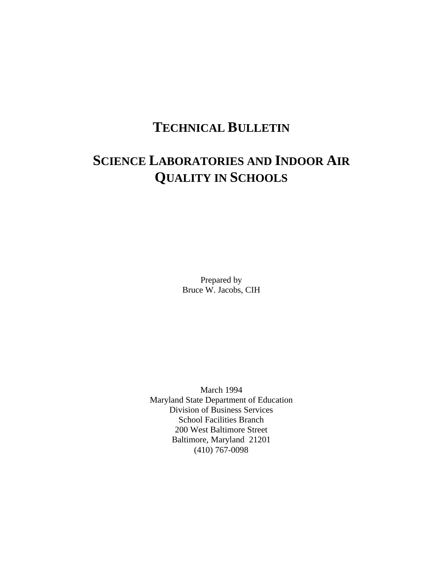# **TECHNICAL BULLETIN**

# **SCIENCE LABORATORIES AND INDOOR AIR QUALITY IN SCHOOLS**

Prepared by Bruce W. Jacobs, CIH

March 1994 Maryland State Department of Education Division of Business Services School Facilities Branch 200 West Baltimore Street Baltimore, Maryland 21201 (410) 767-0098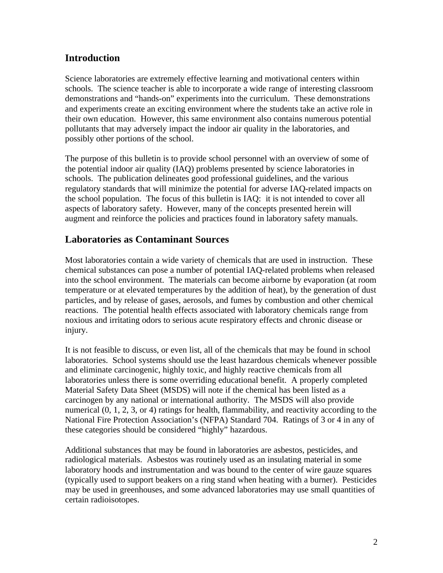## **Introduction**

Science laboratories are extremely effective learning and motivational centers within schools. The science teacher is able to incorporate a wide range of interesting classroom demonstrations and "hands-on" experiments into the curriculum. These demonstrations and experiments create an exciting environment where the students take an active role in their own education. However, this same environment also contains numerous potential pollutants that may adversely impact the indoor air quality in the laboratories, and possibly other portions of the school.

The purpose of this bulletin is to provide school personnel with an overview of some of the potential indoor air quality (IAQ) problems presented by science laboratories in schools. The publication delineates good professional guidelines, and the various regulatory standards that will minimize the potential for adverse IAQ-related impacts on the school population. The focus of this bulletin is IAQ: it is not intended to cover all aspects of laboratory safety. However, many of the concepts presented herein will augment and reinforce the policies and practices found in laboratory safety manuals.

### **Laboratories as Contaminant Sources**

Most laboratories contain a wide variety of chemicals that are used in instruction. These chemical substances can pose a number of potential IAQ-related problems when released into the school environment. The materials can become airborne by evaporation (at room temperature or at elevated temperatures by the addition of heat), by the generation of dust particles, and by release of gases, aerosols, and fumes by combustion and other chemical reactions. The potential health effects associated with laboratory chemicals range from noxious and irritating odors to serious acute respiratory effects and chronic disease or injury.

It is not feasible to discuss, or even list, all of the chemicals that may be found in school laboratories. School systems should use the least hazardous chemicals whenever possible and eliminate carcinogenic, highly toxic, and highly reactive chemicals from all laboratories unless there is some overriding educational benefit. A properly completed Material Safety Data Sheet (MSDS) will note if the chemical has been listed as a carcinogen by any national or international authority. The MSDS will also provide numerical (0, 1, 2, 3, or 4) ratings for health, flammability, and reactivity according to the National Fire Protection Association's (NFPA) Standard 704. Ratings of 3 or 4 in any of these categories should be considered "highly" hazardous.

Additional substances that may be found in laboratories are asbestos, pesticides, and radiological materials. Asbestos was routinely used as an insulating material in some laboratory hoods and instrumentation and was bound to the center of wire gauze squares (typically used to support beakers on a ring stand when heating with a burner). Pesticides may be used in greenhouses, and some advanced laboratories may use small quantities of certain radioisotopes.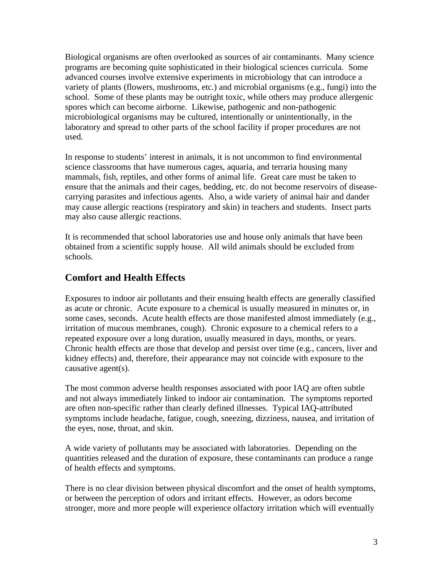Biological organisms are often overlooked as sources of air contaminants. Many science programs are becoming quite sophisticated in their biological sciences curricula. Some advanced courses involve extensive experiments in microbiology that can introduce a variety of plants (flowers, mushrooms, etc.) and microbial organisms (e.g., fungi) into the school. Some of these plants may be outright toxic, while others may produce allergenic spores which can become airborne. Likewise, pathogenic and non-pathogenic microbiological organisms may be cultured, intentionally or unintentionally, in the laboratory and spread to other parts of the school facility if proper procedures are not used.

In response to students' interest in animals, it is not uncommon to find environmental science classrooms that have numerous cages, aquaria, and terraria housing many mammals, fish, reptiles, and other forms of animal life. Great care must be taken to ensure that the animals and their cages, bedding, etc. do not become reservoirs of diseasecarrying parasites and infectious agents. Also, a wide variety of animal hair and dander may cause allergic reactions (respiratory and skin) in teachers and students. Insect parts may also cause allergic reactions.

It is recommended that school laboratories use and house only animals that have been obtained from a scientific supply house. All wild animals should be excluded from schools.

# **Comfort and Health Effects**

Exposures to indoor air pollutants and their ensuing health effects are generally classified as acute or chronic. Acute exposure to a chemical is usually measured in minutes or, in some cases, seconds. Acute health effects are those manifested almost immediately (e.g., irritation of mucous membranes, cough). Chronic exposure to a chemical refers to a repeated exposure over a long duration, usually measured in days, months, or years. Chronic health effects are those that develop and persist over time (e.g., cancers, liver and kidney effects) and, therefore, their appearance may not coincide with exposure to the causative agent(s).

The most common adverse health responses associated with poor IAQ are often subtle and not always immediately linked to indoor air contamination. The symptoms reported are often non-specific rather than clearly defined illnesses. Typical IAQ-attributed symptoms include headache, fatigue, cough, sneezing, dizziness, nausea, and irritation of the eyes, nose, throat, and skin.

A wide variety of pollutants may be associated with laboratories. Depending on the quantities released and the duration of exposure, these contaminants can produce a range of health effects and symptoms.

There is no clear division between physical discomfort and the onset of health symptoms, or between the perception of odors and irritant effects. However, as odors become stronger, more and more people will experience olfactory irritation which will eventually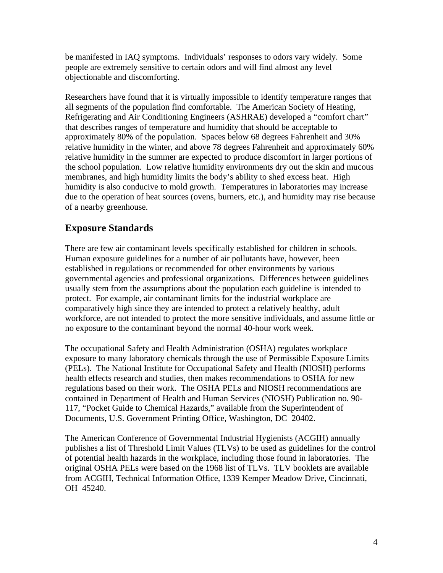be manifested in IAQ symptoms. Individuals' responses to odors vary widely. Some people are extremely sensitive to certain odors and will find almost any level objectionable and discomforting.

Researchers have found that it is virtually impossible to identify temperature ranges that all segments of the population find comfortable. The American Society of Heating, Refrigerating and Air Conditioning Engineers (ASHRAE) developed a "comfort chart" that describes ranges of temperature and humidity that should be acceptable to approximately 80% of the population. Spaces below 68 degrees Fahrenheit and 30% relative humidity in the winter, and above 78 degrees Fahrenheit and approximately 60% relative humidity in the summer are expected to produce discomfort in larger portions of the school population. Low relative humidity environments dry out the skin and mucous membranes, and high humidity limits the body's ability to shed excess heat. High humidity is also conducive to mold growth. Temperatures in laboratories may increase due to the operation of heat sources (ovens, burners, etc.), and humidity may rise because of a nearby greenhouse.

## **Exposure Standards**

There are few air contaminant levels specifically established for children in schools. Human exposure guidelines for a number of air pollutants have, however, been established in regulations or recommended for other environments by various governmental agencies and professional organizations. Differences between guidelines usually stem from the assumptions about the population each guideline is intended to protect. For example, air contaminant limits for the industrial workplace are comparatively high since they are intended to protect a relatively healthy, adult workforce, are not intended to protect the more sensitive individuals, and assume little or no exposure to the contaminant beyond the normal 40-hour work week.

The occupational Safety and Health Administration (OSHA) regulates workplace exposure to many laboratory chemicals through the use of Permissible Exposure Limits (PELs). The National Institute for Occupational Safety and Health (NIOSH) performs health effects research and studies, then makes recommendations to OSHA for new regulations based on their work. The OSHA PELs and NIOSH recommendations are contained in Department of Health and Human Services (NIOSH) Publication no. 90 117, "Pocket Guide to Chemical Hazards," available from the Superintendent of Documents, U.S. Government Printing Office, Washington, DC 20402.

The American Conference of Governmental Industrial Hygienists (ACGIH) annually publishes a list of Threshold Limit Values (TLVs) to be used as guidelines for the control of potential health hazards in the workplace, including those found in laboratories. The original OSHA PELs were based on the 1968 list of TLVs. TLV booklets are available from ACGIH, Technical Information Office, 1339 Kemper Meadow Drive, Cincinnati, OH 45240.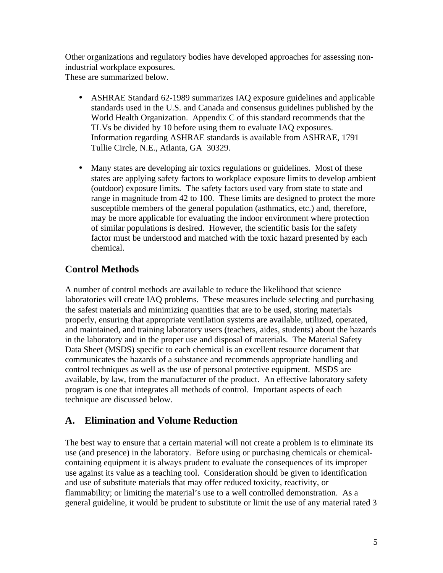Other organizations and regulatory bodies have developed approaches for assessing nonindustrial workplace exposures. These are summarized below.

- ASHRAE Standard 62-1989 summarizes IAQ exposure guidelines and applicable standards used in the U.S. and Canada and consensus guidelines published by the World Health Organization. Appendix C of this standard recommends that the TLVs be divided by 10 before using them to evaluate IAQ exposures. Information regarding ASHRAE standards is available from ASHRAE, 1791 Tullie Circle, N.E., Atlanta, GA 30329.
- Many states are developing air toxics regulations or guidelines. Most of these states are applying safety factors to workplace exposure limits to develop ambient (outdoor) exposure limits. The safety factors used vary from state to state and range in magnitude from 42 to 100. These limits are designed to protect the more susceptible members of the general population (asthmatics, etc.) and, therefore, may be more applicable for evaluating the indoor environment where protection of similar populations is desired. However, the scientific basis for the safety factor must be understood and matched with the toxic hazard presented by each chemical.

# **Control Methods**

A number of control methods are available to reduce the likelihood that science laboratories will create IAQ problems. These measures include selecting and purchasing the safest materials and minimizing quantities that are to be used, storing materials properly, ensuring that appropriate ventilation systems are available, utilized, operated, and maintained, and training laboratory users (teachers, aides, students) about the hazards in the laboratory and in the proper use and disposal of materials. The Material Safety Data Sheet (MSDS) specific to each chemical is an excellent resource document that communicates the hazards of a substance and recommends appropriate handling and control techniques as well as the use of personal protective equipment. MSDS are available, by law, from the manufacturer of the product. An effective laboratory safety program is one that integrates all methods of control. Important aspects of each technique are discussed below.

## **A. Elimination and Volume Reduction**

The best way to ensure that a certain material will not create a problem is to eliminate its use (and presence) in the laboratory. Before using or purchasing chemicals or chemicalcontaining equipment it is always prudent to evaluate the consequences of its improper use against its value as a teaching tool. Consideration should be given to identification and use of substitute materials that may offer reduced toxicity, reactivity, or flammability; or limiting the material's use to a well controlled demonstration. As a general guideline, it would be prudent to substitute or limit the use of any material rated 3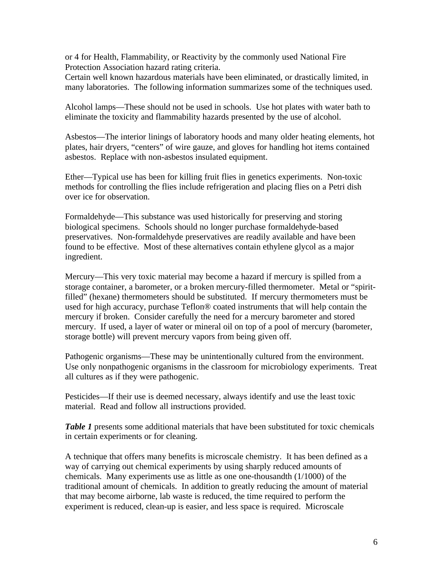or 4 for Health, Flammability, or Reactivity by the commonly used National Fire Protection Association hazard rating criteria.

Certain well known hazardous materials have been eliminated, or drastically limited, in many laboratories. The following information summarizes some of the techniques used.

Alcohol lamps—These should not be used in schools. Use hot plates with water bath to eliminate the toxicity and flammability hazards presented by the use of alcohol.

Asbestos—The interior linings of laboratory hoods and many older heating elements, hot plates, hair dryers, "centers" of wire gauze, and gloves for handling hot items contained asbestos. Replace with non-asbestos insulated equipment.

Ether—Typical use has been for killing fruit flies in genetics experiments. Non-toxic methods for controlling the flies include refrigeration and placing flies on a Petri dish over ice for observation.

Formaldehyde—This substance was used historically for preserving and storing biological specimens. Schools should no longer purchase formaldehyde-based preservatives. Non-formaldehyde preservatives are readily available and have been found to be effective. Most of these alternatives contain ethylene glycol as a major ingredient.

Mercury—This very toxic material may become a hazard if mercury is spilled from a storage container, a barometer, or a broken mercury-filled thermometer. Metal or "spiritfilled" (hexane) thermometers should be substituted. If mercury thermometers must be used for high accuracy, purchase Teflon® coated instruments that will help contain the mercury if broken. Consider carefully the need for a mercury barometer and stored mercury. If used, a layer of water or mineral oil on top of a pool of mercury (barometer, storage bottle) will prevent mercury vapors from being given off.

Pathogenic organisms—These may be unintentionally cultured from the environment. Use only nonpathogenic organisms in the classroom for microbiology experiments. Treat all cultures as if they were pathogenic.

Pesticides—If their use is deemed necessary, always identify and use the least toxic material. Read and follow all instructions provided.

*Table 1* presents some additional materials that have been substituted for toxic chemicals in certain experiments or for cleaning.

A technique that offers many benefits is microscale chemistry. It has been defined as a way of carrying out chemical experiments by using sharply reduced amounts of chemicals. Many experiments use as little as one one-thousandth (1/1000) of the traditional amount of chemicals. In addition to greatly reducing the amount of material that may become airborne, lab waste is reduced, the time required to perform the experiment is reduced, clean-up is easier, and less space is required. Microscale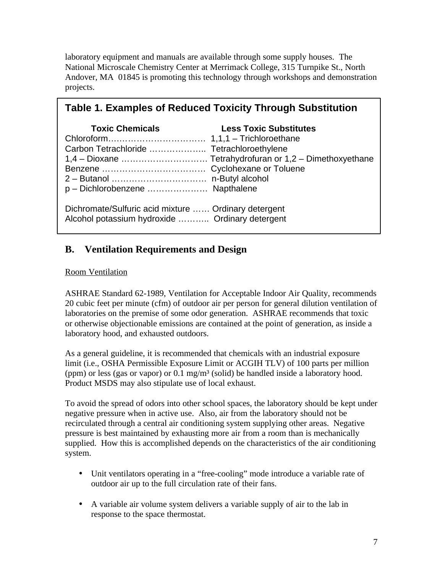laboratory equipment and manuals are available through some supply houses. The National Microscale Chemistry Center at Merrimack College, 315 Turnpike St., North Andover, MA 01845 is promoting this technology through workshops and demonstration projects.

| <b>Table 1. Examples of Reduced Toxicity Through Substitution</b>                                       |                               |  |
|---------------------------------------------------------------------------------------------------------|-------------------------------|--|
| <b>Toxic Chemicals</b><br>p - Dichlorobenzene  Napthalene                                               | <b>Less Toxic Substitutes</b> |  |
| Dichromate/Sulfuric acid mixture  Ordinary detergent<br>Alcohol potassium hydroxide  Ordinary detergent |                               |  |

# **B. Ventilation Requirements and Design**

#### Room Ventilation

ASHRAE Standard 62-1989, Ventilation for Acceptable Indoor Air Quality, recommends 20 cubic feet per minute (cfm) of outdoor air per person for general dilution ventilation of laboratories on the premise of some odor generation. ASHRAE recommends that toxic or otherwise objectionable emissions are contained at the point of generation, as inside a laboratory hood, and exhausted outdoors.

As a general guideline, it is recommended that chemicals with an industrial exposure limit (i.e., OSHA Permissible Exposure Limit or ACGIH TLV) of 100 parts per million (ppm) or less (gas or vapor) or  $0.1 \text{ mg/m}^3$  (solid) be handled inside a laboratory hood. Product MSDS may also stipulate use of local exhaust.

To avoid the spread of odors into other school spaces, the laboratory should be kept under negative pressure when in active use. Also, air from the laboratory should not be recirculated through a central air conditioning system supplying other areas. Negative pressure is best maintained by exhausting more air from a room than is mechanically supplied. How this is accomplished depends on the characteristics of the air conditioning system.

- Unit ventilators operating in a "free-cooling" mode introduce a variable rate of outdoor air up to the full circulation rate of their fans.
- A variable air volume system delivers a variable supply of air to the lab in response to the space thermostat.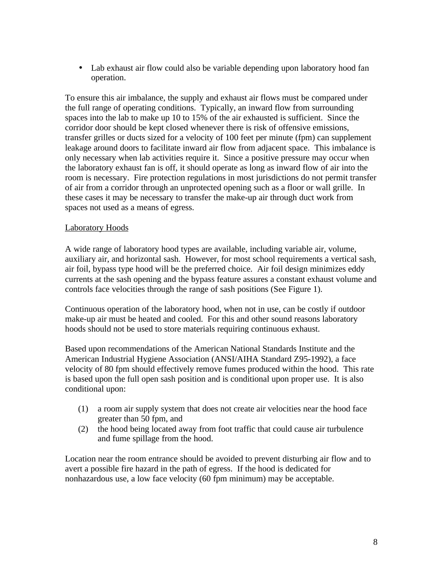• Lab exhaust air flow could also be variable depending upon laboratory hood fan operation.

To ensure this air imbalance, the supply and exhaust air flows must be compared under the full range of operating conditions. Typically, an inward flow from surrounding spaces into the lab to make up 10 to 15% of the air exhausted is sufficient. Since the corridor door should be kept closed whenever there is risk of offensive emissions, transfer grilles or ducts sized for a velocity of 100 feet per minute (fpm) can supplement leakage around doors to facilitate inward air flow from adjacent space. This imbalance is only necessary when lab activities require it. Since a positive pressure may occur when the laboratory exhaust fan is off, it should operate as long as inward flow of air into the room is necessary. Fire protection regulations in most jurisdictions do not permit transfer of air from a corridor through an unprotected opening such as a floor or wall grille. In these cases it may be necessary to transfer the make-up air through duct work from spaces not used as a means of egress.

#### Laboratory Hoods

A wide range of laboratory hood types are available, including variable air, volume, auxiliary air, and horizontal sash. However, for most school requirements a vertical sash, air foil, bypass type hood will be the preferred choice. Air foil design minimizes eddy currents at the sash opening and the bypass feature assures a constant exhaust volume and controls face velocities through the range of sash positions (See Figure 1).

Continuous operation of the laboratory hood, when not in use, can be costly if outdoor make-up air must be heated and cooled. For this and other sound reasons laboratory hoods should not be used to store materials requiring continuous exhaust.

Based upon recommendations of the American National Standards Institute and the American Industrial Hygiene Association (ANSI/AIHA Standard Z95-1992), a face velocity of 80 fpm should effectively remove fumes produced within the hood. This rate is based upon the full open sash position and is conditional upon proper use. It is also conditional upon:

- (1) a room air supply system that does not create air velocities near the hood face greater than 50 fpm, and
- (2) the hood being located away from foot traffic that could cause air turbulence and fume spillage from the hood.

Location near the room entrance should be avoided to prevent disturbing air flow and to avert a possible fire hazard in the path of egress. If the hood is dedicated for nonhazardous use, a low face velocity (60 fpm minimum) may be acceptable.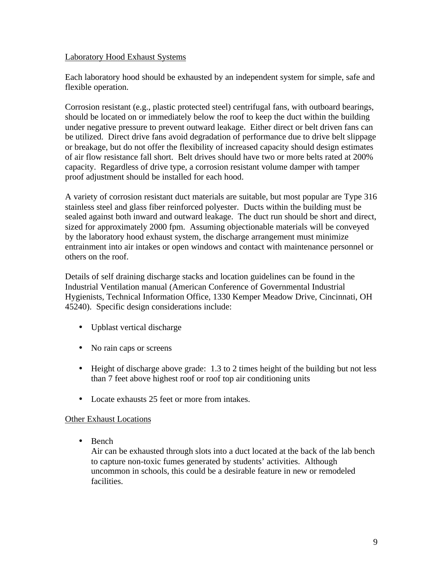#### Laboratory Hood Exhaust Systems

Each laboratory hood should be exhausted by an independent system for simple, safe and flexible operation.

Corrosion resistant (e.g., plastic protected steel) centrifugal fans, with outboard bearings, should be located on or immediately below the roof to keep the duct within the building under negative pressure to prevent outward leakage. Either direct or belt driven fans can be utilized. Direct drive fans avoid degradation of performance due to drive belt slippage or breakage, but do not offer the flexibility of increased capacity should design estimates of air flow resistance fall short. Belt drives should have two or more belts rated at 200% capacity. Regardless of drive type, a corrosion resistant volume damper with tamper proof adjustment should be installed for each hood.

A variety of corrosion resistant duct materials are suitable, but most popular are Type 316 stainless steel and glass fiber reinforced polyester. Ducts within the building must be sealed against both inward and outward leakage. The duct run should be short and direct, sized for approximately 2000 fpm. Assuming objectionable materials will be conveyed by the laboratory hood exhaust system, the discharge arrangement must minimize entrainment into air intakes or open windows and contact with maintenance personnel or others on the roof.

Details of self draining discharge stacks and location guidelines can be found in the Industrial Ventilation manual (American Conference of Governmental Industrial Hygienists, Technical Information Office, 1330 Kemper Meadow Drive, Cincinnati, OH 45240). Specific design considerations include:

- Upblast vertical discharge
- No rain caps or screens
- Height of discharge above grade:  $1.3$  to  $2$  times height of the building but not less than 7 feet above highest roof or roof top air conditioning units
- Locate exhausts 25 feet or more from intakes.

#### Other Exhaust Locations

• Bench

Air can be exhausted through slots into a duct located at the back of the lab bench to capture non-toxic fumes generated by students' activities. Although uncommon in schools, this could be a desirable feature in new or remodeled facilities.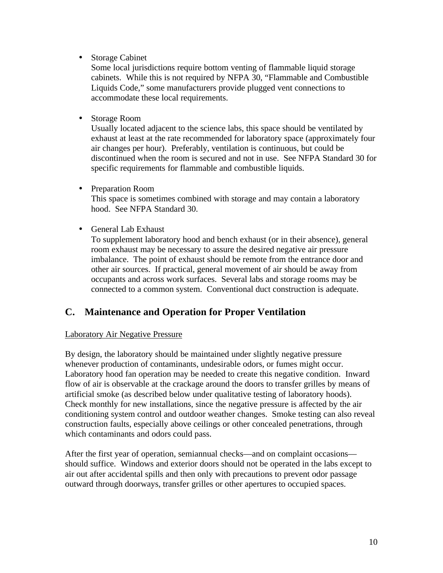• Storage Cabinet

Some local jurisdictions require bottom venting of flammable liquid storage cabinets. While this is not required by NFPA 30, "Flammable and Combustible Liquids Code," some manufacturers provide plugged vent connections to accommodate these local requirements.

• Storage Room

Usually located adjacent to the science labs, this space should be ventilated by exhaust at least at the rate recommended for laboratory space (approximately four air changes per hour). Preferably, ventilation is continuous, but could be discontinued when the room is secured and not in use. See NFPA Standard 30 for specific requirements for flammable and combustible liquids.

- Preparation Room This space is sometimes combined with storage and may contain a laboratory hood. See NFPA Standard 30.
- General Lab Exhaust

To supplement laboratory hood and bench exhaust (or in their absence), general room exhaust may be necessary to assure the desired negative air pressure imbalance. The point of exhaust should be remote from the entrance door and other air sources. If practical, general movement of air should be away from occupants and across work surfaces. Several labs and storage rooms may be connected to a common system. Conventional duct construction is adequate.

# **C. Maintenance and Operation for Proper Ventilation**

Laboratory Air Negative Pressure

By design, the laboratory should be maintained under slightly negative pressure whenever production of contaminants, undesirable odors, or fumes might occur. Laboratory hood fan operation may be needed to create this negative condition. Inward flow of air is observable at the crackage around the doors to transfer grilles by means of artificial smoke (as described below under qualitative testing of laboratory hoods). Check monthly for new installations, since the negative pressure is affected by the air conditioning system control and outdoor weather changes. Smoke testing can also reveal construction faults, especially above ceilings or other concealed penetrations, through which contaminants and odors could pass.

After the first year of operation, semiannual checks—and on complaint occasions should suffice. Windows and exterior doors should not be operated in the labs except to air out after accidental spills and then only with precautions to prevent odor passage outward through doorways, transfer grilles or other apertures to occupied spaces.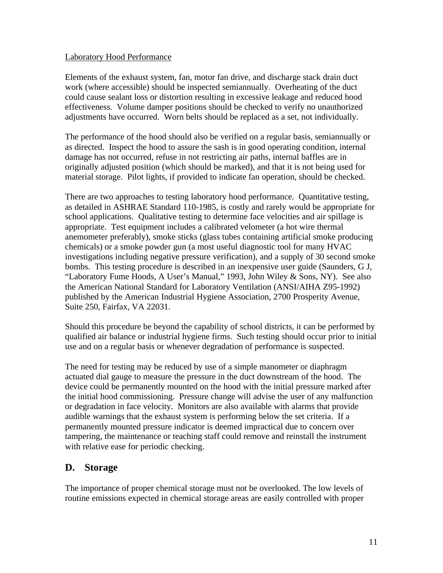#### Laboratory Hood Performance

Elements of the exhaust system, fan, motor fan drive, and discharge stack drain duct work (where accessible) should be inspected semiannually. Overheating of the duct could cause sealant loss or distortion resulting in excessive leakage and reduced hood effectiveness. Volume damper positions should be checked to verify no unauthorized adjustments have occurred. Worn belts should be replaced as a set, not individually.

The performance of the hood should also be verified on a regular basis, semiannually or as directed. Inspect the hood to assure the sash is in good operating condition, internal damage has not occurred, refuse in not restricting air paths, internal baffles are in originally adjusted position (which should be marked), and that it is not being used for material storage. Pilot lights, if provided to indicate fan operation, should be checked.

There are two approaches to testing laboratory hood performance. Quantitative testing, as detailed in ASHRAE Standard 110-1985, is costly and rarely would be appropriate for school applications. Qualitative testing to determine face velocities and air spillage is appropriate. Test equipment includes a calibrated velometer (a hot wire thermal anemometer preferably), smoke sticks (glass tubes containing artificial smoke producing chemicals) or a smoke powder gun (a most useful diagnostic tool for many HVAC investigations including negative pressure verification), and a supply of 30 second smoke bombs. This testing procedure is described in an inexpensive user guide (Saunders, G J, "Laboratory Fume Hoods, A User's Manual," 1993, John Wiley & Sons, NY). See also the American National Standard for Laboratory Ventilation (ANSI/AIHA Z95-1992) published by the American Industrial Hygiene Association, 2700 Prosperity Avenue, Suite 250, Fairfax, VA 22031.

Should this procedure be beyond the capability of school districts, it can be performed by qualified air balance or industrial hygiene firms. Such testing should occur prior to initial use and on a regular basis or whenever degradation of performance is suspected.

The need for testing may be reduced by use of a simple manometer or diaphragm actuated dial gauge to measure the pressure in the duct downstream of the hood. The device could be permanently mounted on the hood with the initial pressure marked after the initial hood commissioning. Pressure change will advise the user of any malfunction or degradation in face velocity. Monitors are also available with alarms that provide audible warnings that the exhaust system is performing below the set criteria. If a permanently mounted pressure indicator is deemed impractical due to concern over tampering, the maintenance or teaching staff could remove and reinstall the instrument with relative ease for periodic checking.

## **D. Storage**

The importance of proper chemical storage must not be overlooked. The low levels of routine emissions expected in chemical storage areas are easily controlled with proper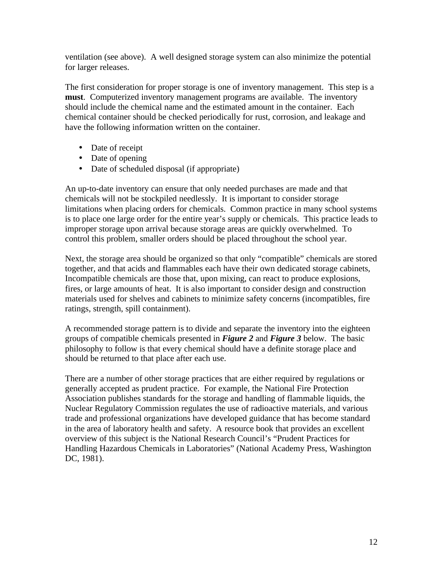ventilation (see above). A well designed storage system can also minimize the potential for larger releases.

The first consideration for proper storage is one of inventory management. This step is a **must**. Computerized inventory management programs are available. The inventory should include the chemical name and the estimated amount in the container. Each chemical container should be checked periodically for rust, corrosion, and leakage and have the following information written on the container.

- Date of receipt
- Date of opening
- Date of scheduled disposal (if appropriate)

An up-to-date inventory can ensure that only needed purchases are made and that chemicals will not be stockpiled needlessly. It is important to consider storage limitations when placing orders for chemicals. Common practice in many school systems is to place one large order for the entire year's supply or chemicals. This practice leads to improper storage upon arrival because storage areas are quickly overwhelmed. To control this problem, smaller orders should be placed throughout the school year.

Next, the storage area should be organized so that only "compatible" chemicals are stored together, and that acids and flammables each have their own dedicated storage cabinets, Incompatible chemicals are those that, upon mixing, can react to produce explosions, fires, or large amounts of heat. It is also important to consider design and construction materials used for shelves and cabinets to minimize safety concerns (incompatibles, fire ratings, strength, spill containment).

 groups of compatible chemicals presented in *Figure 2* and *Figure 3* below. The basic A recommended storage pattern is to divide and separate the inventory into the eighteen philosophy to follow is that every chemical should have a definite storage place and should be returned to that place after each use.

There are a number of other storage practices that are either required by regulations or generally accepted as prudent practice. For example, the National Fire Protection Association publishes standards for the storage and handling of flammable liquids, the Nuclear Regulatory Commission regulates the use of radioactive materials, and various trade and professional organizations have developed guidance that has become standard in the area of laboratory health and safety. A resource book that provides an excellent overview of this subject is the National Research Council's "Prudent Practices for Handling Hazardous Chemicals in Laboratories" (National Academy Press, Washington DC, 1981).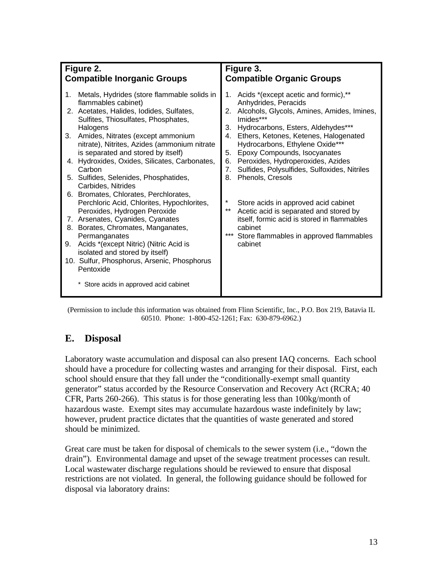| Figure 2.<br><b>Compatible Inorganic Groups</b> |                                                                                                                                                                                                                                                                                                                                                                                                                        | Figure 3.<br><b>Compatible Organic Groups</b>                                                                                                                                                                                                                                                                                                                                                                       |
|-------------------------------------------------|------------------------------------------------------------------------------------------------------------------------------------------------------------------------------------------------------------------------------------------------------------------------------------------------------------------------------------------------------------------------------------------------------------------------|---------------------------------------------------------------------------------------------------------------------------------------------------------------------------------------------------------------------------------------------------------------------------------------------------------------------------------------------------------------------------------------------------------------------|
| 1.<br>3.                                        | Metals, Hydrides (store flammable solids in<br>flammables cabinet)<br>2. Acetates, Halides, Iodides, Sulfates,<br>Sulfites, Thiosulfates, Phosphates,<br>Halogens<br>Amides, Nitrates (except ammonium<br>nitrate), Nitrites, Azides (ammonium nitrate<br>is separated and stored by itself)<br>4. Hydroxides, Oxides, Silicates, Carbonates,<br>Carbon<br>5. Sulfides, Selenides, Phosphatides,<br>Carbides, Nitrides | 1. Acids *(except acetic and formic),**<br>Anhydrides, Peracids<br>2. Alcohols, Glycols, Amines, Amides, Imines,<br>Imides***<br>3. Hydrocarbons, Esters, Aldehydes***<br>Ethers, Ketones, Ketenes, Halogenated<br>4.<br>Hydrocarbons, Ethylene Oxide***<br>Epoxy Compounds, Isocyanates<br>5.<br>6. Peroxides, Hydroperoxides, Azides<br>7. Sulfides, Polysulfides, Sulfoxides, Nitriles<br>Phenols, Cresols<br>8. |
| 9.                                              | 6. Bromates, Chlorates, Perchlorates,<br>Perchloric Acid, Chlorites, Hypochlorites,<br>Peroxides, Hydrogen Peroxide<br>7. Arsenates, Cyanides, Cyanates<br>8. Borates, Chromates, Manganates,<br>Permanganates<br>Acids *(except Nitric) (Nitric Acid is<br>isolated and stored by itself)<br>10. Sulfur, Phosphorus, Arsenic, Phosphorus<br>Pentoxide<br>* Store acids in approved acid cabinet                       | *<br>Store acids in approved acid cabinet<br>$***$<br>Acetic acid is separated and stored by<br>itself, formic acid is stored in flammables<br>cabinet<br>***<br>Store flammables in approved flammables<br>cabinet                                                                                                                                                                                                 |

(Permission to include this information was obtained from Flinn Scientific, Inc., P.O. Box 219, Batavia IL 60510. Phone: 1-800-452-1261; Fax: 630-879-6962.)

## **E. Disposal**

Laboratory waste accumulation and disposal can also present IAQ concerns. Each school should have a procedure for collecting wastes and arranging for their disposal. First, each school should ensure that they fall under the "conditionally-exempt small quantity generator" status accorded by the Resource Conservation and Recovery Act (RCRA; 40 CFR, Parts 260-266). This status is for those generating less than 100kg/month of hazardous waste. Exempt sites may accumulate hazardous waste indefinitely by law; however, prudent practice dictates that the quantities of waste generated and stored should be minimized.

Great care must be taken for disposal of chemicals to the sewer system (i.e., "down the drain"). Environmental damage and upset of the sewage treatment processes can result. Local wastewater discharge regulations should be reviewed to ensure that disposal restrictions are not violated. In general, the following guidance should be followed for disposal via laboratory drains: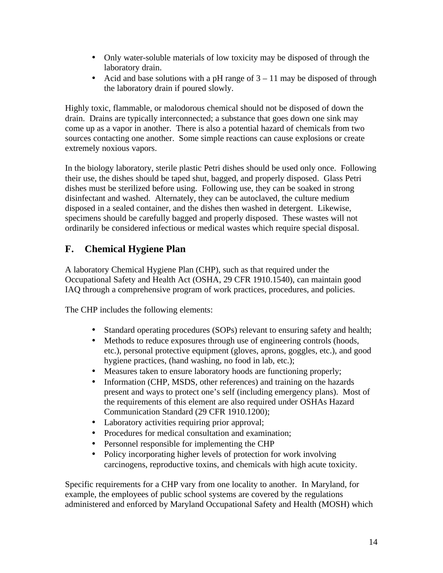- Only water-soluble materials of low toxicity may be disposed of through the laboratory drain.
- Acid and base solutions with a pH range of  $3 11$  may be disposed of through the laboratory drain if poured slowly.

Highly toxic, flammable, or malodorous chemical should not be disposed of down the drain. Drains are typically interconnected; a substance that goes down one sink may come up as a vapor in another. There is also a potential hazard of chemicals from two sources contacting one another. Some simple reactions can cause explosions or create extremely noxious vapors.

In the biology laboratory, sterile plastic Petri dishes should be used only once. Following their use, the dishes should be taped shut, bagged, and properly disposed. Glass Petri dishes must be sterilized before using. Following use, they can be soaked in strong disinfectant and washed. Alternately, they can be autoclaved, the culture medium disposed in a sealed container, and the dishes then washed in detergent. Likewise, specimens should be carefully bagged and properly disposed. These wastes will not ordinarily be considered infectious or medical wastes which require special disposal.

# **F. Chemical Hygiene Plan**

A laboratory Chemical Hygiene Plan (CHP), such as that required under the Occupational Safety and Health Act (OSHA, 29 CFR 1910.1540), can maintain good IAQ through a comprehensive program of work practices, procedures, and policies.

The CHP includes the following elements:

- Standard operating procedures (SOPs) relevant to ensuring safety and health;
- Methods to reduce exposures through use of engineering controls (hoods, etc.), personal protective equipment (gloves, aprons, goggles, etc.), and good hygiene practices, (hand washing, no food in lab, etc.);
- Measures taken to ensure laboratory hoods are functioning properly;
- Information (CHP, MSDS, other references) and training on the hazards present and ways to protect one's self (including emergency plans). Most of the requirements of this element are also required under OSHAs Hazard Communication Standard (29 CFR 1910.1200);
- Laboratory activities requiring prior approval;
- Procedures for medical consultation and examination;
- Personnel responsible for implementing the CHP
- Policy incorporating higher levels of protection for work involving carcinogens, reproductive toxins, and chemicals with high acute toxicity.

Specific requirements for a CHP vary from one locality to another. In Maryland, for example, the employees of public school systems are covered by the regulations administered and enforced by Maryland Occupational Safety and Health (MOSH) which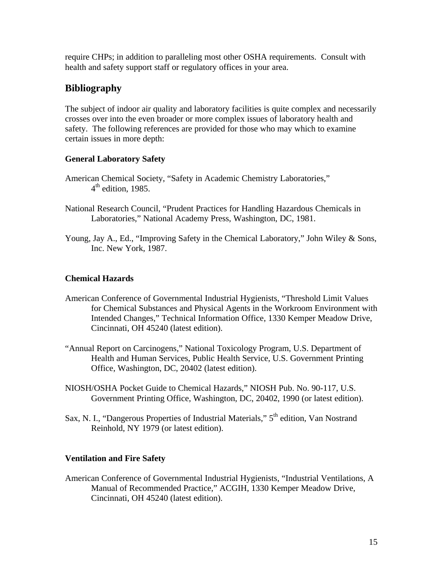require CHPs; in addition to paralleling most other OSHA requirements. Consult with health and safety support staff or regulatory offices in your area.

# **Bibliography**

The subject of indoor air quality and laboratory facilities is quite complex and necessarily crosses over into the even broader or more complex issues of laboratory health and safety. The following references are provided for those who may which to examine certain issues in more depth:

#### **General Laboratory Safety**

- American Chemical Society, "Safety in Academic Chemistry Laboratories,"  $4<sup>th</sup>$  edition, 1985.
- National Research Council, "Prudent Practices for Handling Hazardous Chemicals in Laboratories," National Academy Press, Washington, DC, 1981.
- Young, Jay A., Ed., "Improving Safety in the Chemical Laboratory," John Wiley & Sons, Inc. New York, 1987.

#### **Chemical Hazards**

- American Conference of Governmental Industrial Hygienists, "Threshold Limit Values for Chemical Substances and Physical Agents in the Workroom Environment with Intended Changes," Technical Information Office, 1330 Kemper Meadow Drive, Cincinnati, OH 45240 (latest edition).
- "Annual Report on Carcinogens," National Toxicology Program, U.S. Department of Health and Human Services, Public Health Service, U.S. Government Printing Office, Washington, DC, 20402 (latest edition).
- NIOSH/OSHA Pocket Guide to Chemical Hazards," NIOSH Pub. No. 90-117, U.S. Government Printing Office, Washington, DC, 20402, 1990 (or latest edition).
- Sax, N. I., "Dangerous Properties of Industrial Materials," 5<sup>th</sup> edition, Van Nostrand Reinhold, NY 1979 (or latest edition).

#### **Ventilation and Fire Safety**

American Conference of Governmental Industrial Hygienists, "Industrial Ventilations, A Manual of Recommended Practice," ACGIH, 1330 Kemper Meadow Drive, Cincinnati, OH 45240 (latest edition).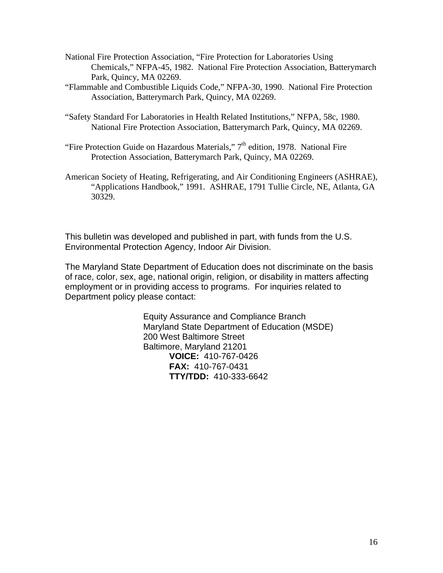- National Fire Protection Association, "Fire Protection for Laboratories Using Chemicals," NFPA-45, 1982. National Fire Protection Association, Batterymarch Park, Quincy, MA 02269.
- "Flammable and Combustible Liquids Code," NFPA-30, 1990. National Fire Protection Association, Batterymarch Park, Quincy, MA 02269.
- "Safety Standard For Laboratories in Health Related Institutions," NFPA, 58c, 1980. National Fire Protection Association, Batterymarch Park, Quincy, MA 02269.
- "Fire Protection Guide on Hazardous Materials,"  $7<sup>th</sup>$  edition, 1978. National Fire Protection Association, Batterymarch Park, Quincy, MA 02269.
- American Society of Heating, Refrigerating, and Air Conditioning Engineers (ASHRAE), "Applications Handbook," 1991. ASHRAE, 1791 Tullie Circle, NE, Atlanta, GA 30329.

This bulletin was developed and published in part, with funds from the U.S. Environmental Protection Agency, Indoor Air Division.

The Maryland State Department of Education does not discriminate on the basis of race, color, sex, age, national origin, religion, or disability in matters affecting employment or in providing access to programs. For inquiries related to Department policy please contact:

> Equity Assurance and Compliance Branch Maryland State Department of Education (MSDE) 200 West Baltimore Street Baltimore, Maryland 21201 **VOICE:** 410-767-0426 **FAX:** 410-767-0431 **TTY/TDD:** 410-333-6642